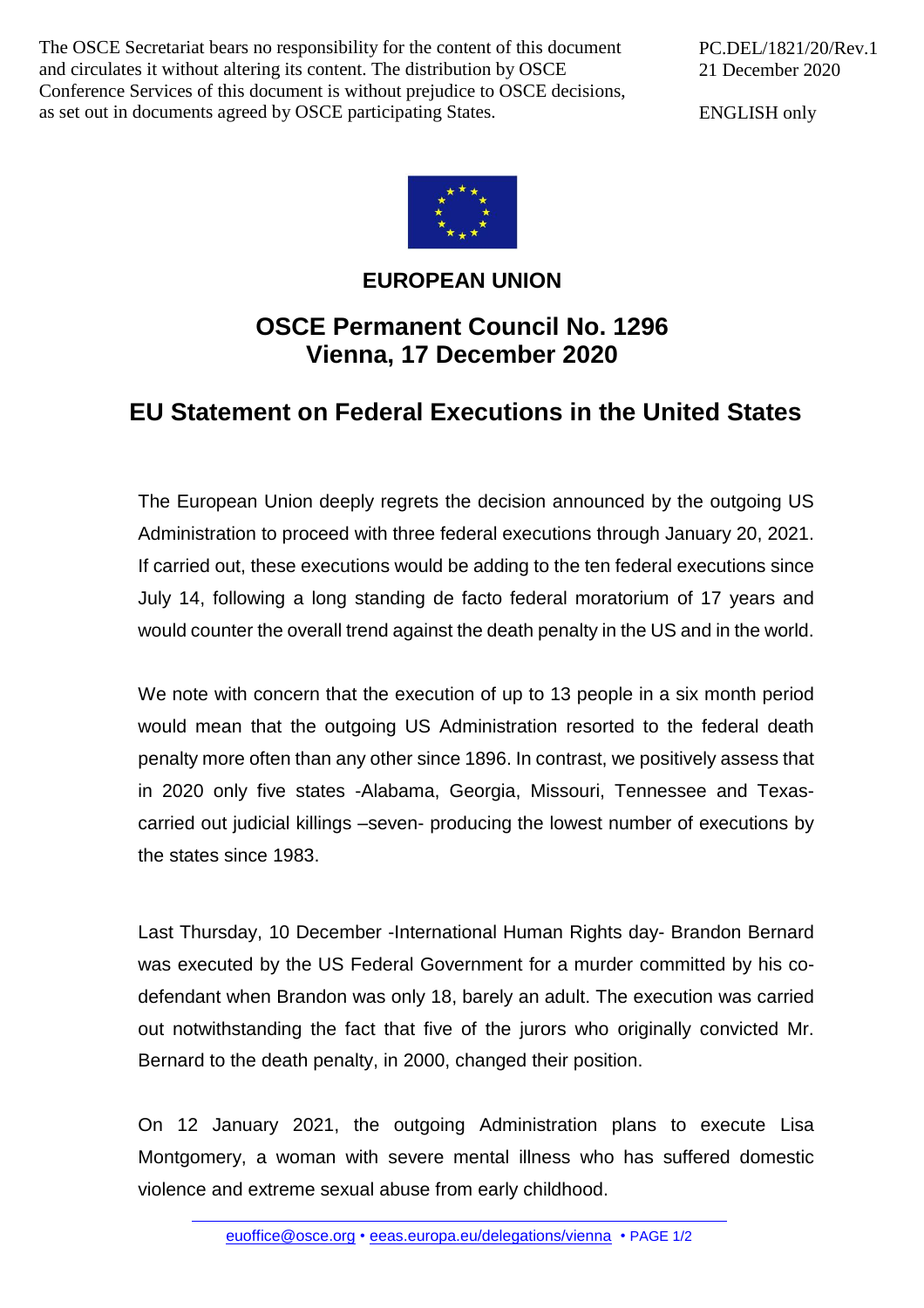The OSCE Secretariat bears no responsibility for the content of this document and circulates it without altering its content. The distribution by OSCE Conference Services of this document is without prejudice to OSCE decisions, as set out in documents agreed by OSCE participating States.

PC.DEL/1821/20/Rev.1 21 December 2020

ENGLISH only



## **EUROPEAN UNION**

## **OSCE Permanent Council No. 1296 Vienna, 17 December 2020**

## **EU Statement on Federal Executions in the United States**

The European Union deeply regrets the decision announced by the outgoing US Administration to proceed with three federal executions through January 20, 2021. If carried out, these executions would be adding to the ten federal executions since July 14, following a long standing de facto federal moratorium of 17 years and would counter the overall trend against the death penalty in the US and in the world.

We note with concern that the execution of up to 13 people in a six month period would mean that the outgoing US Administration resorted to the federal death penalty more often than any other since 1896. In contrast, we positively assess that in 2020 only five states -Alabama, Georgia, Missouri, Tennessee and Texascarried out judicial killings –seven- producing the lowest number of executions by the states since 1983.

Last Thursday, 10 December -International Human Rights day- Brandon Bernard was executed by the US Federal Government for a murder committed by his codefendant when Brandon was only 18, barely an adult. The execution was carried out notwithstanding the fact that five of the jurors who originally convicted Mr. Bernard to the death penalty, in 2000, changed their position.

On 12 January 2021, the outgoing Administration plans to execute Lisa Montgomery, a woman with severe mental illness who has suffered domestic violence and extreme sexual abuse from early childhood.